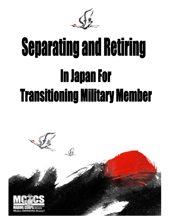

# **Separating and Retiring In Japan For Transitioning Military Member**

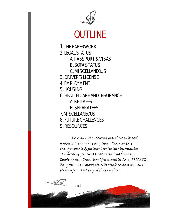

## OUTLINE

1. THE PAPERWORK 2. LEGAL STATUS A. PASSPORT & VISAS B. SOFA STATUS C. MISCELLANEOUS 3. DRIVER'S LICENSE 4. EMPLOYMENT 5. HOUSING 6. HEALTH CARE AND INSURANCE A. RETIREES B. SEPARATEES 7. MISCELLANEOUS 8. FUTURE CHALLENGES 9. RESOURCES

This is an informational pamphlet only and is subject to change at any time. Please contact the appropriate department for further information. (I.e. housing questions speak to Kadena Housing; Employment –Transition Office; Health Care- TRICARE; Passports – Consulate; etc.). For their contact numbers please refer to last page of the pamphlet.

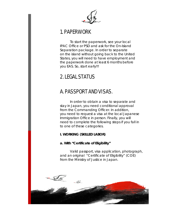

## 1. PAPERWORK

To start the paperwork, see your local IPAC Office or PSD and ask for the On-Island Separation package. In order to separate on the island without going back to the United States, you will need to have employment and the paperwork done at least 6 months before you EAS. So, start early!!!

## 2. LEGAL STATUS

## A. PASSPORT AND VISAS.

In order to obtain a visa to separate and stay in Japan, you need conditional approval from the Commanding Officer. In addition, you need to request a visa at the local Japanese Immigration Office in person. Finally, you will need to complete the following steps if you fall in to one of these categories.

#### **I. WORKING (SKILLED LABOR)**

#### **a.** *With "Certificate of Eligibility"*

Valid passport, visa application, photograph, and an original "Certificate of Eligibility" (COE) from the Ministry of Justice in Japan.

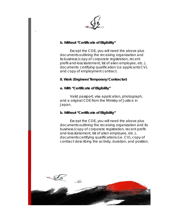

#### **b***. Without "Certificate of Eligibility"*

.

Except the COE, you will need the above plus documents outlining the receiving organization and its business (copy of corporate registration, recent profit-and-loss statement, list of alien employee, etc.), documents certifying qualification (i.e applicants CV), and copy of employment contract.

#### **II. Work (Engineer/Temporary/Contractor)**

#### **a.** *With "Certificate of Eligibility"*

Valid passport, visa application, photograph, and a original COE from the Ministry of Justice in Japan.

#### **b.** *Without "Certificate of Eligibility"*

Except the COE, you will need the above plus documents outlining the receiving organization and its business (copy of corporate registration, recent profitand-loss statement, list of alien employee, etc.), documents certifying qualifications (i.e. CV), copy of contract describing the activity, duration, and position.

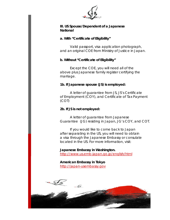

#### **III. US Spouse/Dependent of a Japanese National**

#### **a.** *With "Certificate of Eligibility"*

Valid passport, visa application photograph, and an original COE from Ministry of Justice in Japan.

#### **b.** *Without "Certificate of Eligibility"*

Except the COE, you will need all of the above plus Japanese family register certifying the marriage.

#### **1b. If Japanese spouse (JS) is employed:**

A letter of guarantee from JS, JS's Certificate of Employment (COY), and Certificate of Tax Payment (COT)

#### **2b. If JS is not employed:**

A letter of guarantee from Japanese Guarantee (JG) residing in Japan, JG's COY, and COT.

If you would like to come back to Japan after separating in the US, you will need to obtain a visa through the Japanese Embassy or consulate located in the US. For more information, visit:

#### **Japanese Embassy in Washington.**

http://www.us.emb-japan.go.jp/english/html

**American Embassy in Tokyo** [http://japan-usembassy.gov](http://japan-usembassy.gov/)

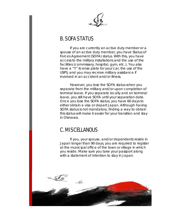

## B. SOFA STATUS

If you are currently an active duty member or a spouse of an active duty member, you have Status of Forces Agreement (SOFA) status. With this, you have access to the military installations and the use of the facilities (commissary, hospital, gym, etc.). You also have a "Y" license plate for your car, the use of the USPS, and you may receive military assistance if involved in an accident and/or illness.

However, you lose the SOFA status when you separate from the military and/or upon completion of terminal leave. If you separate locally and on terminal leave, you still have SOFA until your separation date. Once you lose the SOFA status, you have 60 days to either obtain a visa or depart Japan. Although having SOFA status is not mandatory, finding a way to obtain this status will make it easier for your transition and stay in Okinawa.

## C. MISCELLANOUS

If you, your spouse, and/or dependents reside in Japan longer than 90 days, you are required to register at the municipal office of the town or village in which you reside. Make sure you take your passport along with a statement of intention to stay in Japan.

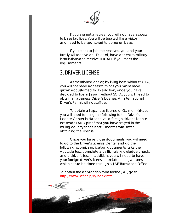

If you are not a retiree, you will not have access to base facilities. You will be treated like a visitor and need to be sponsored to come on base.

If you elect to join the reserves, you and your family will receive an I.D. card, have access to military installations and receive TRICARE if you meet the requirements.

## 3. DRIVER LICENSE

As mentioned earlier, by living here without SOFA, you will not have access to things you might have grown accustomed to. In addition, once you have decided to live in Japan without SOFA, you will need to obtain a Japanese Driver's License. An international Driver's Permit will not suffice.

To obtain a Japanese license or Gaimen Kirikae, you will need to bring the following to the Driver's License Center in Naha: a valid foreign driver's license (stateside) AND proof that you have stayed in the issuing country for at least 3 months total after obtaining the license.

Once you have those documents, you will need to go to the Driver's License Center and do the following: submit application documents, take the Aptitude test, complete a traffic rule knowledge check, and a driver's test. In addition, you will need to have your foreign driver's license translated into Japanese which has to be done through a JAF Translation Office.

To obtain the application form for the JAF, go to: <http://www.jaf.or.jp/e/index.htm>

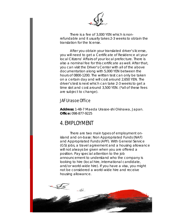

There is a fee of 3,000 YEN which is nonrefundable and it usually takes 2-3 weeks to obtain the translation for the license.

After you obtain your translated driver's license, you will need to get a Certificate of Residence at your local Citizens' Affairs of your local prefecture. There is also a nominal fee for this certificate as well. After that, you can visit the Driver's Center with all of the above documentation along with 5,000 YEN between the hours of 0800-1200. The written test can only be taken on a certain day and will cost around 2,650 YEN. The driver's test is next which can take 2-3 weeks to get a time slot and cost around 3,500 YEN. (\*all of these fees are subject to change).

### JAF Urasoe Office

**Address:** 1-48-7 Maeda Urasoe-shi Okinawa, Japan. **Office:** 098-877-9225

## 4. EMPLOYMENT

There are two main types of employment onisland and on-base: Non Appropriated Funds (NAF) and Appropriated Funds (APF). With General Service (GS) jobs, a travel agreement and a housing allowance will not always be given when you are offered a position. Pay special attention to the job announcement to understand who the company is looking to hire (local hire, international candidate, and/or world-wide hire). If you have a visa, you might not be considered a world-wide hire and receive housing allowance.

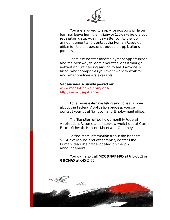

You are allowed to apply for positions while on terminal leave from the military or 120 days before your separation date. Again, pay attention to the job announcement and contact the Human Resource office for further questions about the applications process.

There are contractor employment opportunities and the best way to learn about the jobs is through networking. Start asking around to see if anyone is hiring, what companies you might want to work for, and what positions are available.

#### **Vacancies are usually posted on:**

[www.mccsokinawa.com/jobs/](http://www.mccsokinawa.com/jobs/) [http://www.usajobs.gov](http://www.usajobs.gov/)

For a more extensive listing and to learn more about the Federal Application process, you can contact your local Transition and Employment office.

The Transition office holds monthly Federal Application, Resume and Interview workshops at Camp Foster, Schwab, Hansen, Kinser and Courtney.

To find more information about the benefits, SOFA availability, and other topics, contact the Human Resource office located on the job announcement.

You can also call **MCCS NAF HRO** at 645-3052 or **GS CHRO** at 645-2475

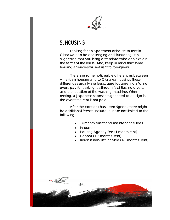

## 5. HOUSING

Looking for an apartment or house to rent in Okinawa can be challenging and frustrating. It is suggested that you bring a translator who can explain the terms of the lease. Also, keep in mind that some housing agencies will not rent to foreigners.

There are some noticeable differences between American housing and to Okinawa housing. These differences usually are less square footage, no a/c, no oven, pay for parking, bathroom facilities, no dryers, and the location of the washing machine. When renting, a Japanese sponsor might need to co-sign in the event the rent is not paid.

After the contract has been signed, there might be additional fees to include, but are not limited to the following:

- 1<sup>st</sup> month's rent and maintenance fees
- Insurance
- Housing Agency Fee (1 month rent)
- Deposit (1-3 months' rent)
- Reikin is non- refundable (1-3 months' rent)

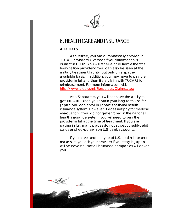## 6. HEALTH CARE AND INSURANCE

#### **A. RETIREES**

As a retiree, you are automatically enrolled in TRICARE Standard Overseas if your information is current in DEERS. You will receive care from either the host- nation provider or you can also be seen at the military treatment facility, but only on a spaceavailable basis. In addition, you may have to pay the provider in full and then file a claim with TRICARE for reimbursement. For more information, visit http://www.tricare.mil/Resources/Claims.aspx

As a Separatee, you will not have the ability to get TRICARE. Once you obtain your long-term visa for Japan, you can enroll in Japan's national health insurance system. However, it does not pay for medical evacuation. If you do not get enrolled in the national health insurance system, you will need to pay the provider in full at the time of treatment. If you are paying in full, many places do not accept credit/debit cards or checks drawn on U.S. bank accounts.

If you have another type of U.S. health insurance, make sure you ask your provider if your stay in Japan will be covered. Not all insurance companies will cover you.

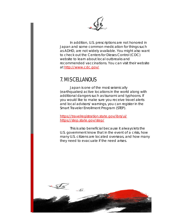

In addition, U.S. prescriptions are not honored in Japan and some common medication for things such as ADHD, are not widely available. You might also want to check out the Centers for Dieses Control (CDC) website to learn about local outbreaks and recommended vaccinations. You can visit their website at<http://www.cdc.gov/>

## 7. MISCELLANOUS

Japan is one of the most seismically (earthquakes) active locations in the world along with additional dangers such as tsunami and typhoons. If you would like to make sure you receive travel alerts and local advisors/ warnings, you can register in the Smart Traveler Enrollment Program (STEP).

<https://travelregistration.state.gov/ibrs/ui/> https://step.state.gov/step/

This is also beneficial because it always lets the U.S. government know that in the event of a crisis, how many U.S. citizens are located overseas, and how many they need to evacuate if the need arises.

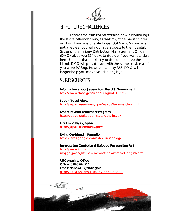

## 8. FUTURE CHALLENGES

Besides the cultural barrier and new surroundings, there are other challenges that might be present later on. First, if you are unable to get SOFA and/or you are not a retiree, you will not have access to the hospital. Second, the military Distribution Management Office (DMO) gives you 364 days to decide if you want to stay here. Up until that mark, if you decide to leave the island, DMO will provide you with the same service as if you were PCSing. However, at day 365, DMO will no longer help you move your belongings.

## 9. RESOURCES

**Information about Japan from the U.S. Government** http://www.state.gov/r/pa/ei/bgn/4142.htm

**Japan Travel Alerts** http://japan.usembassy.gov/e/acs/tacs-warden.html

**Smart Traveler Enrollment Program** <https://travelregistration.state.gov/ibrs/ui/>

**U.S. Embassy in Japan** <http://japan.usembassy.gov/>

**Living On-Island Information** <https://sites.google.com/site/urasoeblog/>

**Immigration Control and Refugee Recognition Act** [http://www.immi](http://www.immi-/) moj.go.jp/english/newimmiact/newimmiact\_english.html

**US Consulate Office Office:** 098-876-4211 **Email**: NahaACS@state.gov http://naha.usconsulate.gov/contact.html

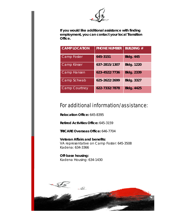

**If you would like additional assistance with finding employment, you can contact your local Transition Office.** 

| <b>CAMP LOCATION</b> | <b>PHONE NUMBER</b> | <b>BUILDING #</b> |
|----------------------|---------------------|-------------------|
| <b>Camp Foster</b>   | 645-3151            | <b>Bldg. 445</b>  |
| <b>Camp Kinser</b>   | 637-2815/1307       | <b>Bldg. 1220</b> |
| <b>Camp Hansen</b>   | 623-4522/7736       | <b>Bldg. 2339</b> |
| Camp Schwab          | 625-2622/2699       | <b>Bldg. 3327</b> |
| <b>Camp Courtney</b> | 622-7332/7878       | <b>Bldg. 4425</b> |

## For additional information/assistance:

**Relocation Office:** 645-8395

**Retired Activities Office:** 645-3159

**TRICARE Overseas Office:** 646-7704

**Veteran Affairs and benefits:**  VA representative on Camp Foster: 645-3508 Kadena: 634-3366

**Off-base housing:** Kadena Housing: 634-1430